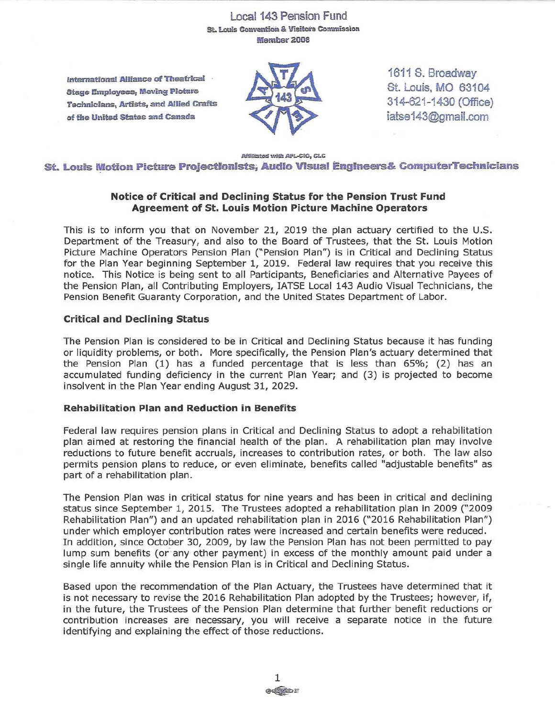# Local 143 Pension Fund St. Louis Convention & Visitors Commission **Member 2008**

**International Alliance of Theatrical** · **Stage Employees, Moving Picture Technicians, Artists, and Allied Crafts of the United Statesand Canada** 



1611 S. Broadway St. Louis, MO 63104 314-621 -1430 (Office) iatse[143@gmail.com](mailto:143@gmail.com) 

#### **Affiliated** with **AFL-CIO, CLC St. Louis Motion Picture Projectionists, Audio Visual Engineers& Computer Technicians**

## **Notice of Critical and Declining Status for the Pension Trust Fund Agreement of St. Louis Motion Picture Machine Operators**

This is to inform you that on November 21, 2019 the plan actuary certified to the U.S. Department of the Treasury, and also to the Board of Trustees, that the St. Louis Motion Picture Machine Operators Pension Plan ("Pension Plan") is in Critical and Declining Status for the Plan Year beginning September 1, 2019. Federal law requires that you receive this notice. This Notice is being sent to all Participants, Beneficiaries and Alternative Payees of the Pension Plan, all Contributing Employers, IATSE Local 143 Audio Visual Technicians, the Pension Benefit Guaranty Corporation, and the United States Department of Labor.

## **Critical and Declining Status**

The Pension Plan is considered to be in Critical and Declining Status because it has funding or liquidity problems, or both. More specifically, the Pension Plan's actuary determined that the Pension Plan (1) has a funded percentage that is less than 65%; (2) has an accumulated funding deficiency in the current Plan Year; and (3) is projected to become insolvent in the Plan Year ending August 31, 2029.

## **Rehabilitation Plan and Reduction in Benefits**

Federal law requires pension plans in Critical and Declining Status to adopt a rehabilitation plan aimed at restoring the financial health of the plan. A rehabilitation plan may involve reductions to future benefit accruals, increases to contribution rates, or both. The law also permits pension plans to reduce, or even eliminate, benefits called "adjustable benefits" as part of a rehabilitation plan.

The Pension Plan was in critical status for nine years and has been in critical and declining status since September 1, 2015. The Trustees adopted a rehabilitation plan in 2009 ("2009 Rehabilitation Plan") and an updated rehabilitation plan in 2016 ("2016 Rehabilitation Plan") under which employer contribution rates were increased and certain benefits were reduced. In addition, since October 30, 2009, by law the Pension Plan has not been permitted to pay lump sum benefits (or any other payment) in excess of the monthly amount paid under a single life annuity while the Pension Plan is in Critical and Declining Status.

Based upon the recommendation of the Plan Actuary, the Trustees have determined that it is not necessary to revise the 2016 Rehabilitation Plan adopted by the Trustees; however, if, in the future, the Trustees of the Pension Plan determine that further benefit reductions or contribution increases are necessary, you will receive a separate notice in the future identifying and explaining the effect of those reductions.